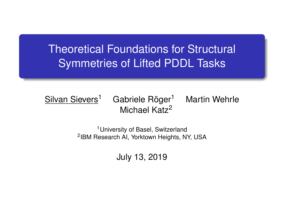# Theoretical Foundations for Structural Symmetries of Lifted PDDL Tasks

#### Silvan Sievers<sup>1</sup> Gabriele Röger<sup>1</sup> Martin Wehrle Michael Katz<sup>2</sup>

<sup>1</sup>University of Basel, Switzerland 2 IBM Research AI, Yorktown Heights, NY, USA

July 13, 2019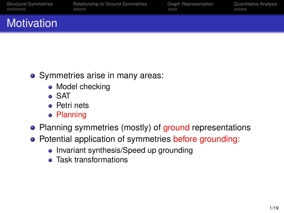|        | <b>Structural Symmetries</b> |
|--------|------------------------------|
| 000000 |                              |

[Relationship to Ground Symmetries](#page-11-0) [Graph Representation](#page-19-0) [Quantitative Analysis](#page-24-0)<br>  $\frac{1}{000}$ 

# **Motivation**

- Symmetries arise in many areas:
	- Model checking
	- SAT
	- **•** Petri nets
	- **Planning**
- Planning symmetries (mostly) of ground representations
- Potential application of symmetries before grounding:
	- Invariant synthesis/Speed up grounding
	- Task transformations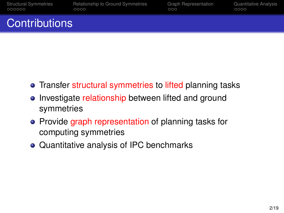|        | <b>Structural Symmetries</b> |
|--------|------------------------------|
| 000000 |                              |

[Relationship to Ground Symmetries](#page-11-0) [Graph Representation](#page-19-0) [Quantitative Analysis](#page-24-0)<br>  $\frac{1}{000}$ 

## **Contributions**

- Transfer structural symmetries to lifted planning tasks
- Investigate relationship between lifted and ground symmetries
- Provide graph representation of planning tasks for computing symmetries
- Quantitative analysis of IPC benchmarks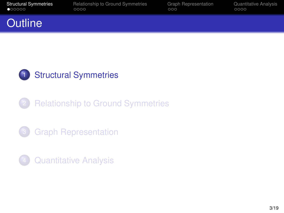<span id="page-3-0"></span>

|        | <b>Structural Symmetries</b> |
|--------|------------------------------|
| 000000 |                              |

[Relationship to Ground Symmetries](#page-11-0) [Graph Representation](#page-19-0) [Quantitative Analysis](#page-24-0)<br>  $\frac{1}{000}$ 

## **Outline**



**[Relationship to Ground Symmetries](#page-11-0)** 

- **[Graph Representation](#page-19-0)**
- **[Quantitative Analysis](#page-24-0)**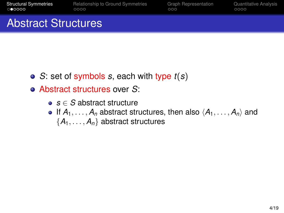[Structural Symmetries](#page-3-0) [Relationship to Ground Symmetries](#page-11-0) [Graph Representation](#page-19-0) [Quantitative Analysis](#page-24-0)<br>  $\overline{Q}$ <br>  $\overline{Q}$ 

### Abstract Structures

- *S*: set of symbols *s*, each with type *t*(*s*)
- Abstract structures over *S*:
	- *s* ∈ *S* abstract structure
	- **If**  $A_1, \ldots, A_n$  abstract structures, then also  $\langle A_1, \ldots, A_n \rangle$  and {*A*1, . . . , *An*} abstract structures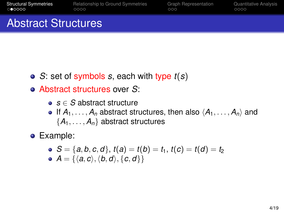[Structural Symmetries](#page-3-0) [Relationship to Ground Symmetries](#page-11-0) [Graph Representation](#page-19-0) [Quantitative Analysis](#page-24-0)<br>  $\overline{Q}$ <br>  $\overline{Q}$ 

### Abstract Structures

- *S*: set of symbols *s*, each with type *t*(*s*)
- Abstract structures over *S*:
	- *s* ∈ *S* abstract structure
	- **If**  $A_1, \ldots, A_n$  abstract structures, then also  $\langle A_1, \ldots, A_n \rangle$  and {*A*1, . . . , *An*} abstract structures
- Example:
	- $S = \{a, b, c, d\}, t(a) = t(b) = t_1, t(c) = t(d) = t_2$ •  $A = \{\langle a, c \rangle, \langle b, d \rangle, \{c, d\}\}\$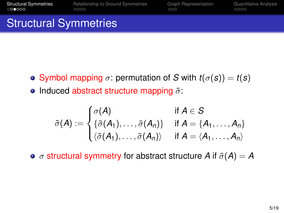[Structural Symmetries](#page-3-0) [Relationship to Ground Symmetries](#page-11-0) [Graph Representation](#page-19-0) [Quantitative Analysis](#page-24-0)<br>  $\begin{array}{cc}\n\text{C0}\bullet\text{O0}\bullet\text{O0}\n\end{array}$ 

## Structural Symmetries

- **•** Symbol mapping  $\sigma$ : permutation of *S* with  $t(\sigma(s)) = t(s)$
- Induced abstract structure mapping  $\tilde{\sigma}$ :

$$
\tilde{\sigma}(A) := \begin{cases}\n\sigma(A) & \text{if } A \in S \\
\{\tilde{\sigma}(A_1), \ldots, \tilde{\sigma}(A_n)\} & \text{if } A = \{A_1, \ldots, A_n\} \\
\langle \tilde{\sigma}(A_1), \ldots, \tilde{\sigma}(A_n) \rangle & \text{if } A = \langle A_1, \ldots, A_n \rangle\n\end{cases}
$$

 $\bullet$   $\sigma$  structural symmetry for abstract structure *A* if  $\tilde{\sigma}(A) = A$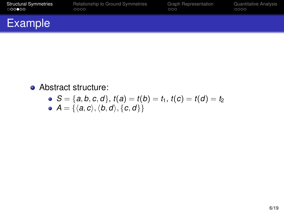| <b>Structural Symmetries</b> | Relationship to Ground Symmetries | <b>Graph Representation</b> | Quantitative Analysis |
|------------------------------|-----------------------------------|-----------------------------|-----------------------|
| 000000                       | 0000                              | 000                         | 0000                  |
| Example                      |                                   |                             |                       |

• Abstract structure:

• 
$$
S = \{a, b, c, d\}, t(a) = t(b) = t_1, t(c) = t(d) = t_2
$$
  
\n•  $A = \{\langle a, c \rangle, \langle b, d \rangle, \{c, d\}\}$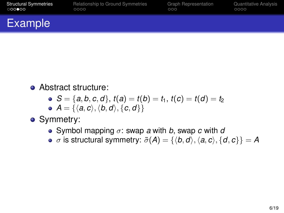| <b>Structural Symmetries</b> | Relationship to Ground Symmetries | <b>Graph Representation</b> | Quantitative Analysis |
|------------------------------|-----------------------------------|-----------------------------|-----------------------|
| 000000                       | 0000                              | 000                         | 0000                  |
| <b>Example</b>               |                                   |                             |                       |

• Abstract structure:

• 
$$
S = \{a, b, c, d\}, t(a) = t(b) = t_1, t(c) = t(d) = t_2
$$

$$
\bullet \ \ A = \{ \langle a, c \rangle, \langle b, d \rangle, \{c, d\} \}
$$

• Symmetry:

- Symbol mapping  $\sigma$ : swap *a* with *b*, swap *c* with *d*
- $\sigma$  is structural symmetry:  $\tilde{\sigma}(A) = \{ \langle b, d \rangle, \langle a, c \rangle, \{ d, c \} \} = A$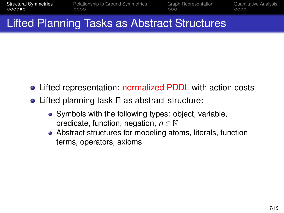## Lifted Planning Tasks as Abstract Structures

- Lifted representation: normalized PDDL with action costs
- Lifted planning task Π as abstract structure:
	- Symbols with the following types: object, variable, predicate, function, negation, *n* ∈ N
	- Abstract structures for modeling atoms, literals, function terms, operators, axioms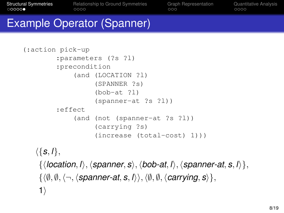[Structural Symmetries](#page-3-0) [Relationship to Ground Symmetries](#page-11-0) [Graph Representation](#page-19-0) [Quantitative Analysis](#page-24-0)<br>
00000 0000

### Example Operator (Spanner)

```
(:action pick-up
        :parameters (?s ?l)
        :precondition
            (and (LOCATION ?l)
                  (SPANNER ?s)
                  (bob-at ?l)
                  (spanner-at ?s ?l))
        :effect
            (and (not (spanner-at ?s ?l))
                  (carrying ?s)
                  (increase (total-cost) 1)))
```
 $\langle \{ \mathbf{s}, l \}, \rangle$ 

```
\{\langle location, l \rangle, \langle spanner, s \rangle, \langle bob-at, l \rangle, \langle spanner-at, s, l \rangle\},\\{\langle \emptyset, \emptyset, \langle \neg, \langle \textit{spanner-at}, s, \mathbf{I} \rangle \rangle, \langle \emptyset, \emptyset, \langle \textit{carrying}, s \rangle \},\}1)
```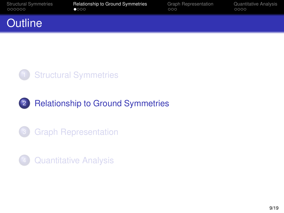<span id="page-11-0"></span>

[Structural Symmetries](#page-3-0) **[Relationship to Ground Symmetries](#page-11-0)** [Graph Representation](#page-19-0) [Quantitative Analysis](#page-24-0)<br>  $\begin{array}{cc}\n\bullet & \circ & \circ & \circ \\
\bullet & \bullet & \circ & \circ\n\end{array}$ 

## **Outline**



### 2 [Relationship to Ground Symmetries](#page-11-0)



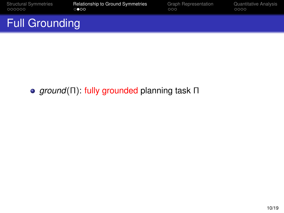| <b>Structural Symmetries</b> | <b>Relationship to Ground Symmetries</b> | <b>Graph Representation</b> | Quantitative Analysis |
|------------------------------|------------------------------------------|-----------------------------|-----------------------|
| 000000                       | ಿಂಂ                                      | 000                         | 0000                  |
| <b>Full Grounding</b>        |                                          |                             |                       |

**e** ground(Π): fully grounded planning task Π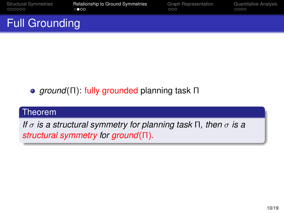| <b>Structural Symmetries</b> | <b>Relationship to Ground Symmetries</b> | <b>Graph Representation</b> | Quantitative Analysis |
|------------------------------|------------------------------------------|-----------------------------|-----------------------|
| 000000                       | ಿಂ⊙                                      | 000                         | 0000                  |
| <b>Full Grounding</b>        |                                          |                             |                       |

**•** ground(Π): fully grounded planning task Π

#### Theorem

*If* σ *is a structural symmetry for planning task* Π*, then* σ *is a structural symmetry for ground*(Π)*.*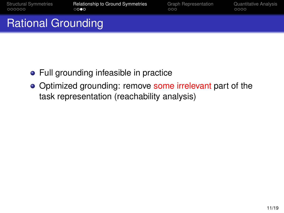[Structural Symmetries](#page-3-0) **[Relationship to Ground Symmetries](#page-11-0)** [Graph Representation](#page-19-0) [Quantitative Analysis](#page-24-0)<br>  $\begin{array}{cc}\n\text{C} & \text{C} & \text{C} \\
\text{C} & \text{C} & \text{C} \\
\text{D} & \text{D} & \text{D}\n\end{array}$ 

# Rational Grounding

- Full grounding infeasible in practice
- Optimized grounding: remove some irrelevant part of the task representation (reachability analysis)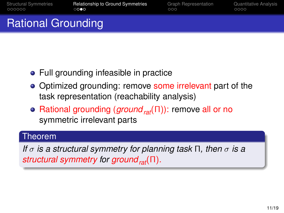[Structural Symmetries](#page-3-0) **[Relationship to Ground Symmetries](#page-11-0)** [Graph Representation](#page-19-0) [Quantitative Analysis](#page-24-0)<br>  $\begin{array}{cc}\n\text{C} & \text{C} & \text{C} \\
\text{C} & \text{C} & \text{C} \\
\text{D} & \text{D} & \text{D}\n\end{array}$ 

# Rational Grounding

- Full grounding infeasible in practice
- Optimized grounding: remove some irrelevant part of the task representation (reachability analysis)
- Rational grounding (*groundrat*(Π)): remove all or no symmetric irrelevant parts

#### Theorem

*If* σ *is a structural symmetry for planning task* Π*, then* σ *is a structural symmetry for groundrat*(Π)*.*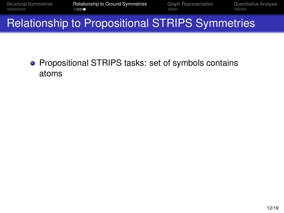[Structural Symmetries](#page-3-0) **[Relationship to Ground Symmetries](#page-11-0)** [Graph Representation](#page-19-0) [Quantitative Analysis](#page-24-0)<br>  $\begin{array}{cc}\n\text{C} & \text{C} & \text{C} \\
\text{C} & \text{C} & \text{C} & \text{C}\n\end{array}$ 

## Relationship to Propositional STRIPS Symmetries

**• Propositional STRIPS tasks: set of symbols contains** atoms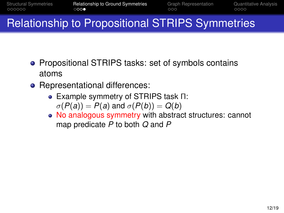# Relationship to Propositional STRIPS Symmetries

- Propositional STRIPS tasks: set of symbols contains atoms
- Representational differences:
	- Example symmetry of STRIPS task Π:  $\sigma(P(a)) = P(a)$  and  $\sigma(P(b)) = Q(b)$
	- No analogous symmetry with abstract structures: cannot map predicate *P* to both *Q* and *P*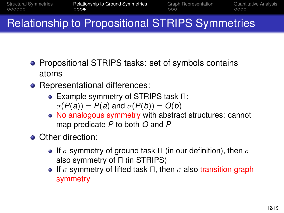# Relationship to Propositional STRIPS Symmetries

- **Propositional STRIPS tasks: set of symbols contains** atoms
- Representational differences:
	- Example symmetry of STRIPS task Π:  $\sigma(P(a)) = P(a)$  and  $\sigma(P(b)) = Q(b)$
	- No analogous symmetry with abstract structures: cannot map predicate *P* to both *Q* and *P*
- Other direction:
	- **If**  $\sigma$  symmetry of ground task Π (in our definition), then  $\sigma$ also symmetry of Π (in STRIPS)
	- **If**  $\sigma$  symmetry of lifted task Π, then  $\sigma$  also transition graph symmetry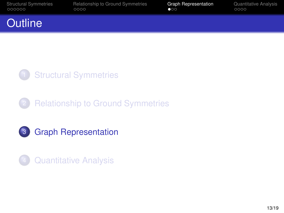<span id="page-19-0"></span>

| <b>Structural Symmetries</b> | Relationship to Ground Symmetries | <b>Graph Representation</b> | Quantitative Analysis |
|------------------------------|-----------------------------------|-----------------------------|-----------------------|
| 000000                       | 0000                              | $\bullet$                   | 0000                  |
| <b>Outline</b>               |                                   |                             |                       |

# **[Structural Symmetries](#page-3-0)**

## **[Relationship to Ground Symmetries](#page-11-0)**



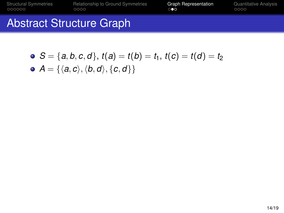[Structural Symmetries](#page-3-0) [Relationship to Ground Symmetries](#page-11-0) [Graph Representation](#page-19-0) [Quantitative Analysis](#page-24-0)

## Abstract Structure Graph

\n- $$
S = \{a, b, c, d\}, t(a) = t(b) = t_1, t(c) = t(d) = t_2
$$
\n- $A = \{\langle a, c \rangle, \langle b, d \rangle, \{c, d\}\}$
\n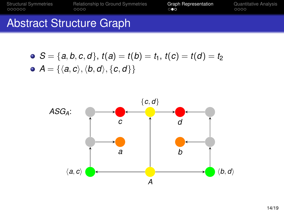[Structural Symmetries](#page-3-0) [Relationship to Ground Symmetries](#page-11-0) [Graph Representation](#page-19-0) [Quantitative Analysis](#page-24-0)

## Abstract Structure Graph

• 
$$
S = \{a, b, c, d\}, t(a) = t(b) = t_1, t(c) = t(d) = t_2
$$
  
\n•  $A = \{\langle a, c \rangle, \langle b, d \rangle, \{c, d\}\}$ 

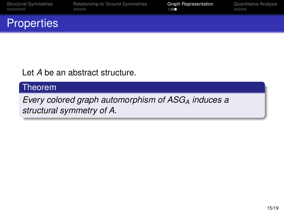|        | <b>Structural Symmetries</b> |
|--------|------------------------------|
| 000000 |                              |

[Relationship to Ground Symmetries](#page-11-0) **[Graph Representation](#page-19-0)** [Quantitative Analysis](#page-24-0)<br>  $\begin{array}{c}\n\bullet \\
\bullet\n\end{array}$ 

## **Properties**

Let *A* be an abstract structure.

#### Theorem

*Every colored graph automorphism of ASG<sup>A</sup> induces a structural symmetry of A.*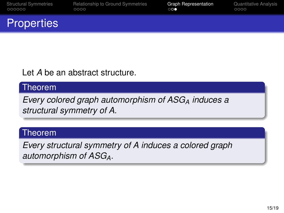|        | <b>Structural Symmetries</b> |
|--------|------------------------------|
| 000000 |                              |

[Relationship to Ground Symmetries](#page-11-0) **[Graph Representation](#page-19-0)** [Quantitative Analysis](#page-24-0)<br>  $\begin{array}{cc}\n\circ \circ \circ & \circ \\
\circ \circ \bullet & \circ \circ \circ\n\end{array}$ 

## **Properties**

Let *A* be an abstract structure.

#### Theorem

*Every colored graph automorphism of ASG<sup>A</sup> induces a structural symmetry of A.*

#### Theorem

*Every structural symmetry of A induces a colored graph automorphism of ASGA.*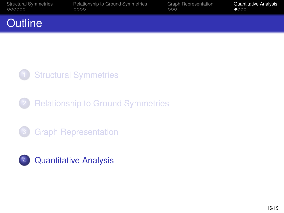<span id="page-24-0"></span>

|        | <b>Structural Symmetries</b> |
|--------|------------------------------|
| 000000 |                              |

[Relationship to Ground Symmetries](#page-11-0) [Graph Representation](#page-19-0) **[Quantitative Analysis](#page-24-0)**<br>  $\begin{array}{cc}\n\text{000} & \text{Q} \\
\text{001} & \text{Q} \\
\text{002}\n\end{array}$ 

## **Outline**



**[Relationship to Ground Symmetries](#page-11-0)** 



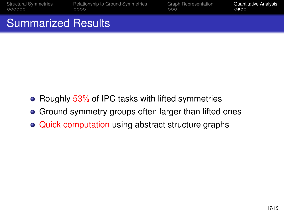[Structural Symmetries](#page-3-0) [Relationship to Ground Symmetries](#page-11-0) [Graph Representation](#page-19-0) [Quantitative Analysis](#page-24-0)<br>  $\frac{1}{00000}$ 

## Summarized Results

- Roughly  $53\%$  of IPC tasks with lifted symmetries
- Ground symmetry groups often larger than lifted ones
- Quick computation using abstract structure graphs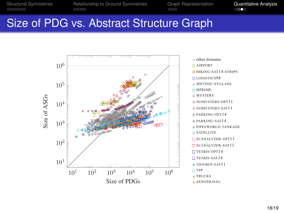[Structural Symmetries](#page-3-0) [Relationship to Ground Symmetries](#page-11-0) [Graph Representation](#page-19-0) [Quantitative Analysis](#page-24-0)<br>  $\begin{array}{cc}\n\text{OOOOO} & \text{OOO} \\
\text{OOO} & \text{OOO}\n\end{array}$ 

### Size of PDG vs. Abstract Structure Graph

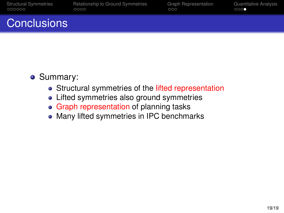|        | <b>Structural Symmetries</b> |
|--------|------------------------------|
| 000000 |                              |

[Relationship to Ground Symmetries](#page-11-0) [Graph Representation](#page-19-0) [Quantitative Analysis](#page-24-0)<br>  $\begin{array}{cc}\n\text{000}\n\text{000}\n\end{array}$ 

## Conclusions

- Summary:
	- Structural symmetries of the lifted representation
	- Lifted symmetries also ground symmetries
	- Graph representation of planning tasks
	- Many lifted symmetries in IPC benchmarks